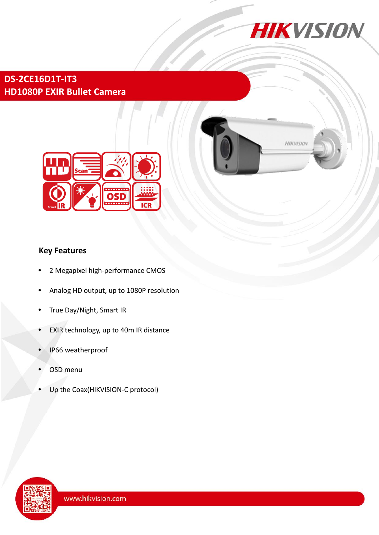

# **DS-2CE16D1T-IT3 HD1080P EXIR Bullet Camera**





## **Key Features**

- 2 Megapixel high-performance CMOS
- Analog HD output, up to 1080P resolution
- True Day/Night, Smart IR
- EXIR technology, up to 40m IR distance
- IP66 weatherproof
- OSD menu
- Up the Coax(HIKVISION-C protocol)

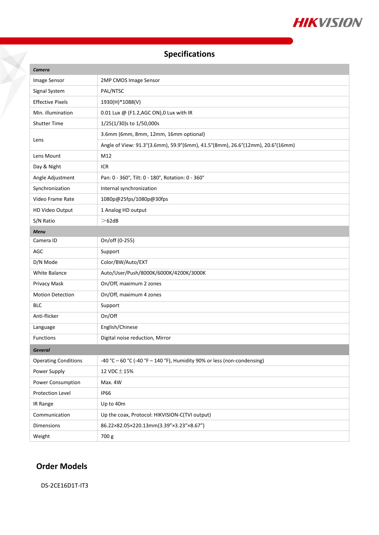

# **Specifications**

| Camera                      |                                                                               |
|-----------------------------|-------------------------------------------------------------------------------|
| Image Sensor                | 2MP CMOS Image Sensor                                                         |
| Signal System               | PAL/NTSC                                                                      |
| <b>Effective Pixels</b>     | 1930(H)*1088(V)                                                               |
| Min. illumination           | 0.01 Lux @ (F1.2, AGC ON), 0 Lux with IR                                      |
| <b>Shutter Time</b>         | 1/25(1/30)s to 1/50,000s                                                      |
| Lens                        | 3.6mm (6mm, 8mm, 12mm, 16mm optional)                                         |
|                             | Angle of View: 91.3°(3.6mm), 59.9°(6mm), 41.5°(8mm), 26.6°(12mm), 20.6°(16mm) |
| Lens Mount                  | M12                                                                           |
| Day & Night                 | <b>ICR</b>                                                                    |
| Angle Adjustment            | Pan: 0 - 360°, Tilt: 0 - 180°, Rotation: 0 - 360°                             |
| Synchronization             | Internal synchronization                                                      |
| Video Frame Rate            | 1080p@25fps/1080p@30fps                                                       |
| HD Video Output             | 1 Analog HD output                                                            |
| S/N Ratio                   | >62dB                                                                         |
| <b>Menu</b>                 |                                                                               |
| Camera ID                   | On/off (0-255)                                                                |
| AGC                         | Support                                                                       |
| D/N Mode                    | Color/BW/Auto/EXT                                                             |
| White Balance               | Auto/User/Push/8000K/6000K/4200K/3000K                                        |
| Privacy Mask                | On/Off, maximum 2 zones                                                       |
| <b>Motion Detection</b>     | On/Off, maximum 4 zones                                                       |
| <b>BLC</b>                  | Support                                                                       |
| Anti-flicker                | On/Off                                                                        |
| Language                    | English/Chinese                                                               |
| Functions                   | Digital noise reduction, Mirror                                               |
| <b>General</b>              |                                                                               |
| <b>Operating Conditions</b> | -40 °C - 60 °C (-40 °F - 140 °F), Humidity 90% or less (non-condensing)       |
| Power Supply                | 12 VDC $\pm$ 15%                                                              |
| Power Consumption           | Max. 4W                                                                       |
| Protection Level            | <b>IP66</b>                                                                   |
| IR Range                    | Up to 40m                                                                     |
| Communication               | Up the coax, Protocol: HIKVISION-C(TVI output)                                |
| Dimensions                  | 86.22×82.05×220.13mm(3.39"×3.23"×8.67")                                       |
| Weight                      | 700 g                                                                         |

## **Order Models**

DS-2CE16D1T-IT3